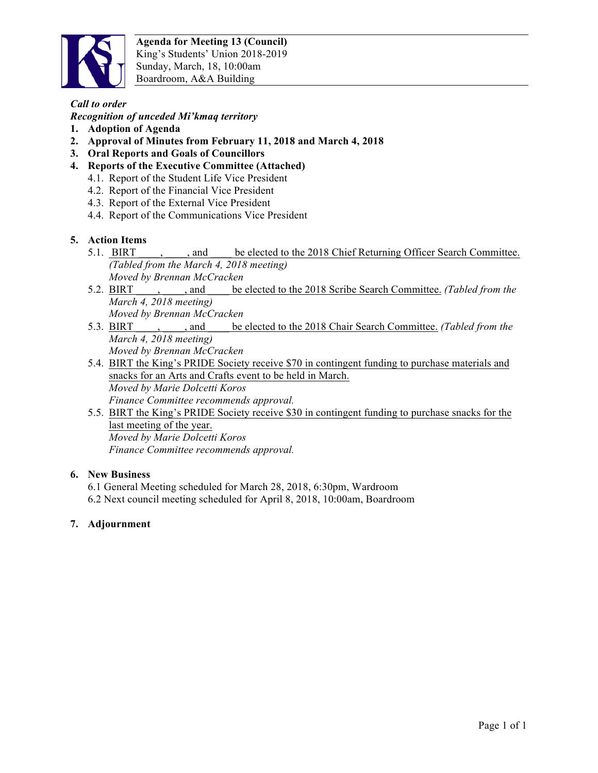

# *Call to order*

*Recognition of unceded Mi'kmaq territory* 

- **1. Adoption of Agenda**
- **2. Approval of Minutes from February 11, 2018 and March 4, 2018**
- **3. Oral Reports and Goals of Councillors**
- **4. Reports of the Executive Committee (Attached)**
	- 4.1. Report of the Student Life Vice President
	- 4.2. Report of the Financial Vice President
	- 4.3. Report of the External Vice President
	- 4.4. Report of the Communications Vice President

### **5. Action Items**

- 5.1. BIRT , and be elected to the 2018 Chief Returning Officer Search Committee. *(Tabled from the March 4, 2018 meeting) Moved by Brennan McCracken*
- 5.2. BIRT \_\_\_\_, \_\_\_\_, and \_\_\_\_ be elected to the 2018 Scribe Search Committee. *(Tabled from the March 4, 2018 meeting) Moved by Brennan McCracken*
- 5.3. BIRT \_\_\_\_, \_\_\_\_, and \_\_\_\_ be elected to the 2018 Chair Search Committee. *(Tabled from the March 4, 2018 meeting) Moved by Brennan McCracken*
- 5.4. BIRT the King's PRIDE Society receive \$70 in contingent funding to purchase materials and snacks for an Arts and Crafts event to be held in March. *Moved by Marie Dolcetti Koros Finance Committee recommends approval.*
- 5.5. BIRT the King's PRIDE Society receive \$30 in contingent funding to purchase snacks for the last meeting of the year. *Moved by Marie Dolcetti Koros Finance Committee recommends approval.*

#### **6. New Business**

- 6.1 General Meeting scheduled for March 28, 2018, 6:30pm, Wardroom
- 6.2 Next council meeting scheduled for April 8, 2018, 10:00am, Boardroom

#### **7. Adjournment**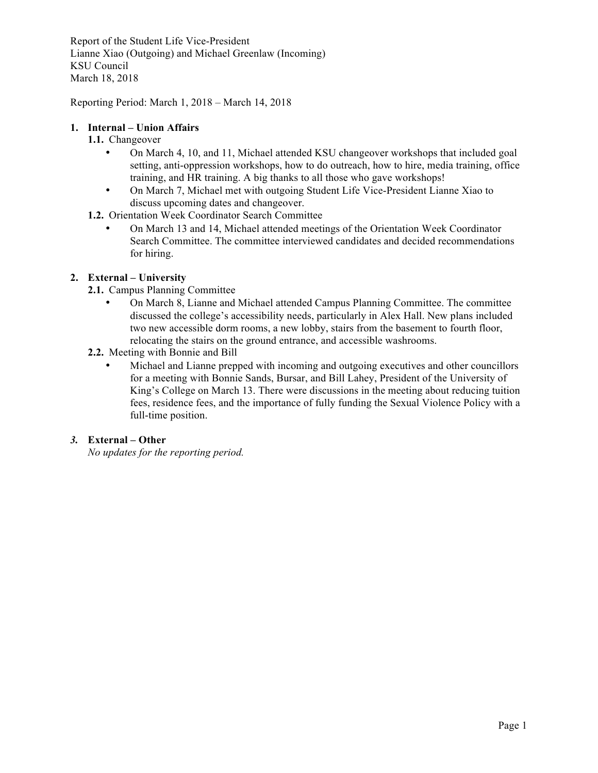Report of the Student Life Vice-President Lianne Xiao (Outgoing) and Michael Greenlaw (Incoming) KSU Council March 18, 2018

Reporting Period: March 1, 2018 – March 14, 2018

### **1. Internal – Union Affairs**

### **1.1.** Changeover

- On March 4, 10, and 11, Michael attended KSU changeover workshops that included goal setting, anti-oppression workshops, how to do outreach, how to hire, media training, office training, and HR training. A big thanks to all those who gave workshops!
- On March 7, Michael met with outgoing Student Life Vice-President Lianne Xiao to discuss upcoming dates and changeover.
- **1.2.** Orientation Week Coordinator Search Committee
	- On March 13 and 14, Michael attended meetings of the Orientation Week Coordinator Search Committee. The committee interviewed candidates and decided recommendations for hiring.

### **2. External – University**

- **2.1.** Campus Planning Committee
	- On March 8, Lianne and Michael attended Campus Planning Committee. The committee discussed the college's accessibility needs, particularly in Alex Hall. New plans included two new accessible dorm rooms, a new lobby, stairs from the basement to fourth floor, relocating the stairs on the ground entrance, and accessible washrooms.
- **2.2.** Meeting with Bonnie and Bill
	- Michael and Lianne prepped with incoming and outgoing executives and other councillors for a meeting with Bonnie Sands, Bursar, and Bill Lahey, President of the University of King's College on March 13. There were discussions in the meeting about reducing tuition fees, residence fees, and the importance of fully funding the Sexual Violence Policy with a full-time position.

#### *3.* **External – Other**

*No updates for the reporting period.*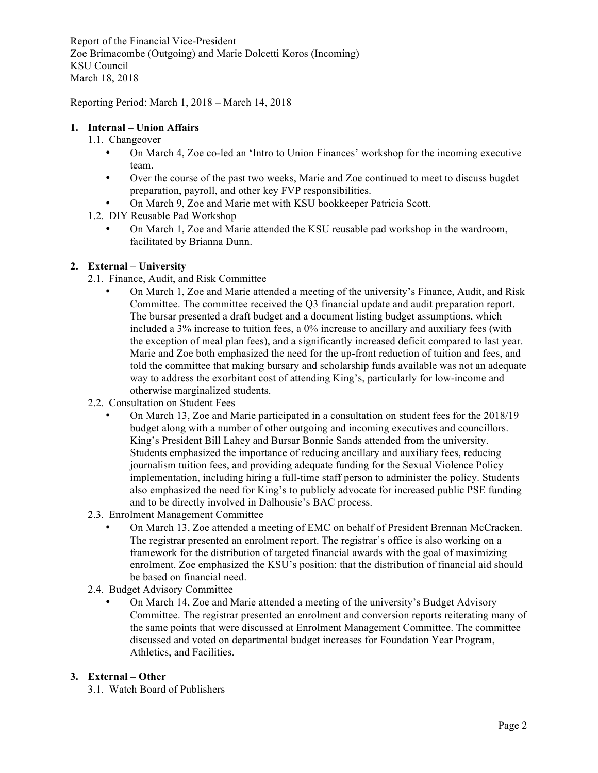Report of the Financial Vice-President Zoe Brimacombe (Outgoing) and Marie Dolcetti Koros (Incoming) KSU Council March 18, 2018

Reporting Period: March 1, 2018 – March 14, 2018

#### **1. Internal – Union Affairs**

- 1.1. Changeover
	- On March 4, Zoe co-led an 'Intro to Union Finances' workshop for the incoming executive team.
	- Over the course of the past two weeks, Marie and Zoe continued to meet to discuss bugdet preparation, payroll, and other key FVP responsibilities.
	- On March 9, Zoe and Marie met with KSU bookkeeper Patricia Scott.
- 1.2. DIY Reusable Pad Workshop
	- On March 1, Zoe and Marie attended the KSU reusable pad workshop in the wardroom, facilitated by Brianna Dunn.

### **2. External – University**

- 2.1. Finance, Audit, and Risk Committee
	- On March 1, Zoe and Marie attended a meeting of the university's Finance, Audit, and Risk Committee. The committee received the Q3 financial update and audit preparation report. The bursar presented a draft budget and a document listing budget assumptions, which included a 3% increase to tuition fees, a 0% increase to ancillary and auxiliary fees (with the exception of meal plan fees), and a significantly increased deficit compared to last year. Marie and Zoe both emphasized the need for the up-front reduction of tuition and fees, and told the committee that making bursary and scholarship funds available was not an adequate way to address the exorbitant cost of attending King's, particularly for low-income and otherwise marginalized students.
- 2.2. Consultation on Student Fees
	- On March 13, Zoe and Marie participated in a consultation on student fees for the 2018/19 budget along with a number of other outgoing and incoming executives and councillors. King's President Bill Lahey and Bursar Bonnie Sands attended from the university. Students emphasized the importance of reducing ancillary and auxiliary fees, reducing journalism tuition fees, and providing adequate funding for the Sexual Violence Policy implementation, including hiring a full-time staff person to administer the policy. Students also emphasized the need for King's to publicly advocate for increased public PSE funding and to be directly involved in Dalhousie's BAC process.
- 2.3. Enrolment Management Committee
	- On March 13, Zoe attended a meeting of EMC on behalf of President Brennan McCracken. The registrar presented an enrolment report. The registrar's office is also working on a framework for the distribution of targeted financial awards with the goal of maximizing enrolment. Zoe emphasized the KSU's position: that the distribution of financial aid should be based on financial need.
- 2.4. Budget Advisory Committee
	- On March 14, Zoe and Marie attended a meeting of the university's Budget Advisory Committee. The registrar presented an enrolment and conversion reports reiterating many of the same points that were discussed at Enrolment Management Committee. The committee discussed and voted on departmental budget increases for Foundation Year Program, Athletics, and Facilities.

#### **3. External – Other**

3.1. Watch Board of Publishers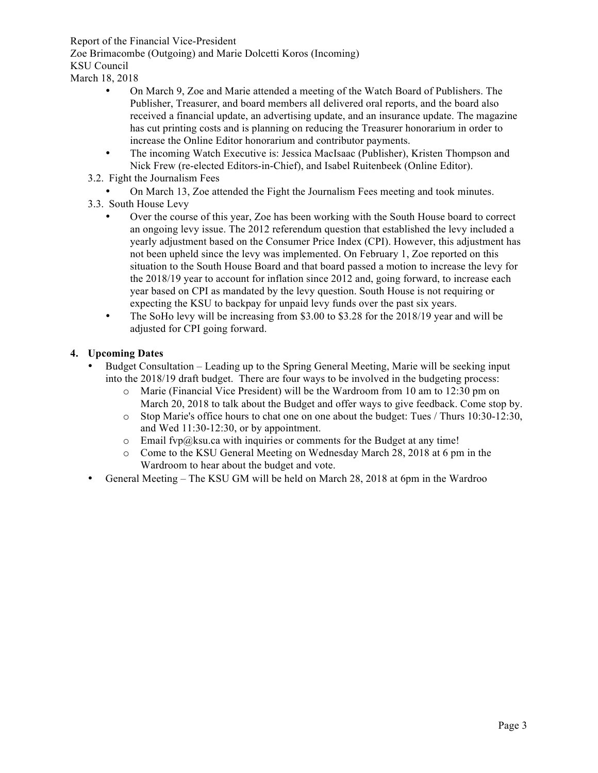Report of the Financial Vice-President

Zoe Brimacombe (Outgoing) and Marie Dolcetti Koros (Incoming)

KSU Council

March 18, 2018

- On March 9, Zoe and Marie attended a meeting of the Watch Board of Publishers. The Publisher, Treasurer, and board members all delivered oral reports, and the board also received a financial update, an advertising update, and an insurance update. The magazine has cut printing costs and is planning on reducing the Treasurer honorarium in order to increase the Online Editor honorarium and contributor payments.
- The incoming Watch Executive is: Jessica MacIsaac (Publisher), Kristen Thompson and Nick Frew (re-elected Editors-in-Chief), and Isabel Ruitenbeek (Online Editor).
- 3.2. Fight the Journalism Fees

• On March 13, Zoe attended the Fight the Journalism Fees meeting and took minutes.

- 3.3. South House Levy
	- Over the course of this year, Zoe has been working with the South House board to correct an ongoing levy issue. The 2012 referendum question that established the levy included a yearly adjustment based on the Consumer Price Index (CPI). However, this adjustment has not been upheld since the levy was implemented. On February 1, Zoe reported on this situation to the South House Board and that board passed a motion to increase the levy for the 2018/19 year to account for inflation since 2012 and, going forward, to increase each year based on CPI as mandated by the levy question. South House is not requiring or expecting the KSU to backpay for unpaid levy funds over the past six years.
	- The SoHo levy will be increasing from \$3.00 to \$3.28 for the 2018/19 year and will be adjusted for CPI going forward.

# **4. Upcoming Dates**

- Budget Consultation Leading up to the Spring General Meeting, Marie will be seeking input into the 2018/19 draft budget. There are four ways to be involved in the budgeting process:
	- o Marie (Financial Vice President) will be the Wardroom from 10 am to 12:30 pm on March 20, 2018 to talk about the Budget and offer ways to give feedback. Come stop by.
	- o Stop Marie's office hours to chat one on one about the budget: Tues / Thurs 10:30-12:30, and Wed 11:30-12:30, or by appointment.
	- $\circ$  Email fvp@ksu.ca with inquiries or comments for the Budget at any time!
	- o Come to the KSU General Meeting on Wednesday March 28, 2018 at 6 pm in the Wardroom to hear about the budget and vote.
- General Meeting The KSU GM will be held on March 28, 2018 at 6pm in the Wardroo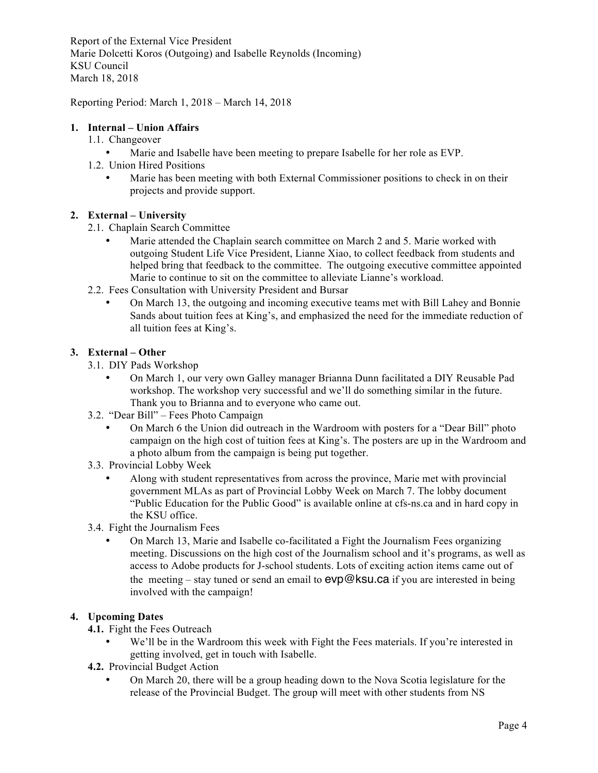Report of the External Vice President Marie Dolcetti Koros (Outgoing) and Isabelle Reynolds (Incoming) KSU Council March 18, 2018

Reporting Period: March 1, 2018 – March 14, 2018

### **1. Internal – Union Affairs**

- 1.1. Changeover
	- Marie and Isabelle have been meeting to prepare Isabelle for her role as EVP.
- 1.2. Union Hired Positions
	- Marie has been meeting with both External Commissioner positions to check in on their projects and provide support.

#### **2. External – University**

- 2.1. Chaplain Search Committee
	- Marie attended the Chaplain search committee on March 2 and 5. Marie worked with outgoing Student Life Vice President, Lianne Xiao, to collect feedback from students and helped bring that feedback to the committee. The outgoing executive committee appointed Marie to continue to sit on the committee to alleviate Lianne's workload.
- 2.2. Fees Consultation with University President and Bursar
	- On March 13, the outgoing and incoming executive teams met with Bill Lahey and Bonnie Sands about tuition fees at King's, and emphasized the need for the immediate reduction of all tuition fees at King's.

### **3. External – Other**

- 3.1. DIY Pads Workshop
	- On March 1, our very own Galley manager Brianna Dunn facilitated a DIY Reusable Pad workshop. The workshop very successful and we'll do something similar in the future. Thank you to Brianna and to everyone who came out.
- 3.2. "Dear Bill" Fees Photo Campaign
	- On March 6 the Union did outreach in the Wardroom with posters for a "Dear Bill" photo campaign on the high cost of tuition fees at King's. The posters are up in the Wardroom and a photo album from the campaign is being put together.
- 3.3. Provincial Lobby Week
	- Along with student representatives from across the province, Marie met with provincial government MLAs as part of Provincial Lobby Week on March 7. The lobby document "Public Education for the Public Good" is available online at cfs-ns.ca and in hard copy in the KSU office.
- 3.4. Fight the Journalism Fees
	- On March 13, Marie and Isabelle co-facilitated a Fight the Journalism Fees organizing meeting. Discussions on the high cost of the Journalism school and it's programs, as well as access to Adobe products for J-school students. Lots of exciting action items came out of the meeting – stay tuned or send an email to  $evp@$  ksu.ca if you are interested in being involved with the campaign!

# **4. Upcoming Dates**

- **4.1.** Fight the Fees Outreach
	- We'll be in the Wardroom this week with Fight the Fees materials. If you're interested in getting involved, get in touch with Isabelle.
- **4.2.** Provincial Budget Action
	- On March 20, there will be a group heading down to the Nova Scotia legislature for the release of the Provincial Budget. The group will meet with other students from NS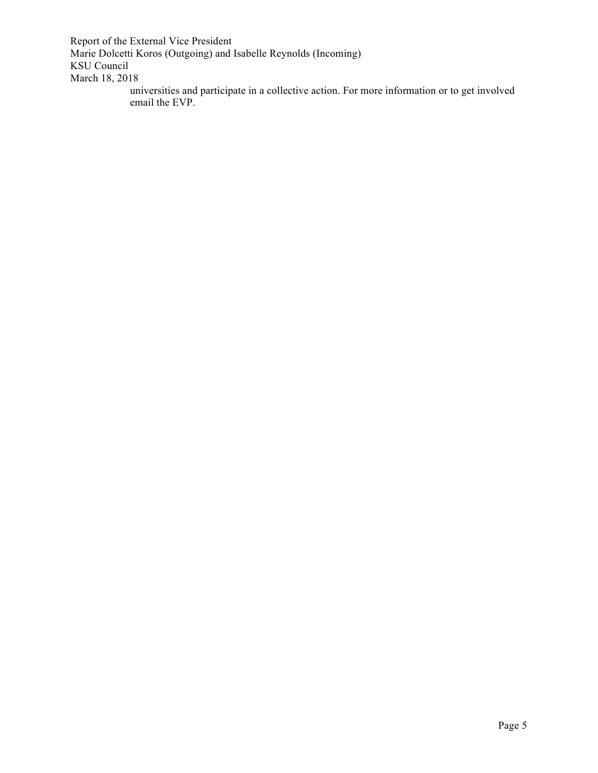Report of the External Vice President Marie Dolcetti Koros (Outgoing) and Isabelle Reynolds (Incoming) KSU Council March 18, 2018

universities and participate in a collective action. For more information or to get involved email the EVP.